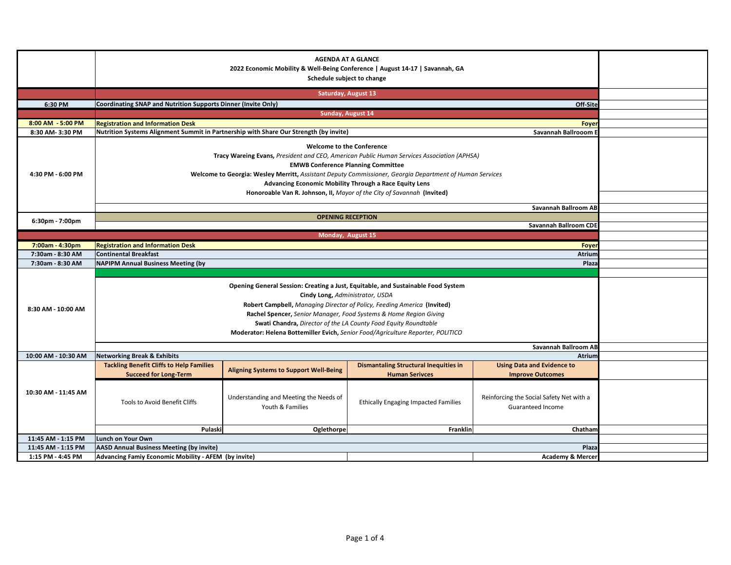|                     |                                                                                                                                                                                                       | <b>Saturday, August 13</b>                                                            |                                                                       |                                                               |  |
|---------------------|-------------------------------------------------------------------------------------------------------------------------------------------------------------------------------------------------------|---------------------------------------------------------------------------------------|-----------------------------------------------------------------------|---------------------------------------------------------------|--|
| 6:30 PM             | Coordinating SNAP and Nutrition Supports Dinner (Invite Only)                                                                                                                                         |                                                                                       |                                                                       | Off-Site                                                      |  |
|                     |                                                                                                                                                                                                       | Sunday, August 14                                                                     |                                                                       |                                                               |  |
| 8:00 AM - 5:00 PM   | <b>Registration and Information Desk</b>                                                                                                                                                              |                                                                                       |                                                                       | Foyer                                                         |  |
| 8:30 AM-3:30 PM     |                                                                                                                                                                                                       | Nutrition Systems Alignment Summit in Partnership with Share Our Strength (by invite) |                                                                       |                                                               |  |
| 4:30 PM - 6:00 PM   | Tracy Wareing Evans, President and CEO, American Public Human Services Association (APHSA)<br>Welcome to Georgia: Wesley Merritt, Assistant Deputy Commissioner, Georgia Department of Human Services |                                                                                       |                                                                       |                                                               |  |
|                     |                                                                                                                                                                                                       | Savannah Ballroom AB                                                                  |                                                                       |                                                               |  |
|                     |                                                                                                                                                                                                       |                                                                                       |                                                                       |                                                               |  |
| 6:30pm - 7:00pm     |                                                                                                                                                                                                       |                                                                                       |                                                                       | <b>Savannah Ballroom CDE</b>                                  |  |
|                     |                                                                                                                                                                                                       | Monday, August 15                                                                     |                                                                       |                                                               |  |
| 7:00am - 4:30pm     | <b>Registration and Information Desk</b>                                                                                                                                                              |                                                                                       |                                                                       |                                                               |  |
| 7:30am - 8:30 AM    | <b>Continental Breakfast</b>                                                                                                                                                                          |                                                                                       |                                                                       |                                                               |  |
| 7:30am - 8:30 AM    | <b>NAPIPM Annual Business Meeting (by</b>                                                                                                                                                             |                                                                                       |                                                                       |                                                               |  |
| 8:30 AM - 10:00 AM  |                                                                                                                                                                                                       |                                                                                       |                                                                       |                                                               |  |
|                     |                                                                                                                                                                                                       |                                                                                       |                                                                       |                                                               |  |
| 10:00 AM - 10:30 AM | <b>Networking Break &amp; Exhibits</b>                                                                                                                                                                |                                                                                       |                                                                       | Atrium                                                        |  |
| 10:30 AM - 11:45 AM | <b>Tackling Benefit Cliffs to Help Families</b><br><b>Succeed for Long-Term</b>                                                                                                                       | <b>Aligning Systems to Support Well-Being</b>                                         | <b>Dismantaling Structural Inequities in</b><br><b>Human Serivces</b> | <b>Using Data and Evidence to</b><br><b>Improve Outcomes</b>  |  |
|                     | <b>Tools to Avoid Benefit Cliffs</b>                                                                                                                                                                  | Understanding and Meeting the Needs of<br>Youth & Families                            | <b>Ethically Engaging Impacted Families</b>                           | Reinforcing the Social Safety Net with a<br>Guaranteed Income |  |
|                     | Pulaski                                                                                                                                                                                               | Oglethorpe                                                                            | Franklin                                                              | Chatham                                                       |  |
| 11:45 AM - 1:15 PM  | Lunch on Your Own                                                                                                                                                                                     |                                                                                       |                                                                       |                                                               |  |
| 11:45 AM - 1:15 PM  | <b>AASD Annual Business Meeting (by invite)</b>                                                                                                                                                       |                                                                                       |                                                                       |                                                               |  |
| 1:15 PM - 4:45 PM   | Advancing Famiy Economic Mobility - AFEM (by invite)                                                                                                                                                  |                                                                                       |                                                                       | <b>Academy &amp; Mercer</b>                                   |  |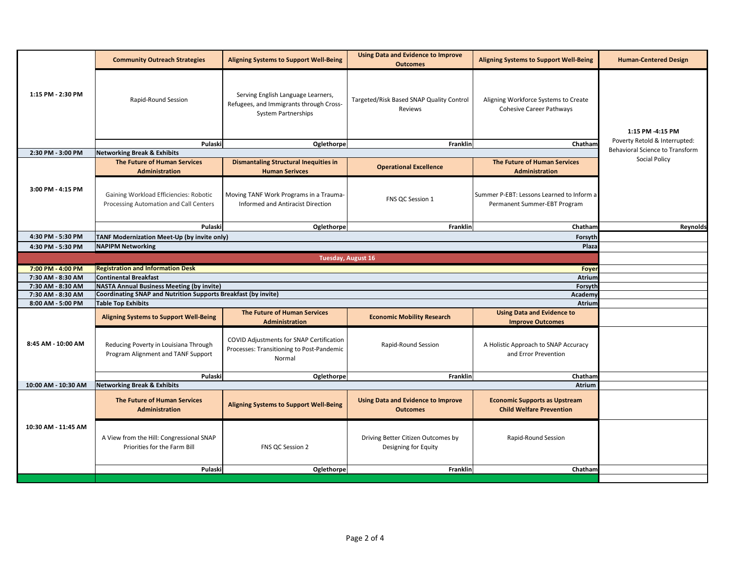|                     | <b>Community Outreach Strategies</b>                                             | <b>Aligning Systems to Support Well-Being</b>                                                        | <b>Using Data and Evidence to Improve</b><br><b>Outcomes</b> | <b>Aligning Systems to Support Well-Being</b>                             | <b>Human-Centered Design</b>    |
|---------------------|----------------------------------------------------------------------------------|------------------------------------------------------------------------------------------------------|--------------------------------------------------------------|---------------------------------------------------------------------------|---------------------------------|
| 1:15 PM - 2:30 PM   | Rapid-Round Session                                                              | Serving English Language Learners,<br>Refugees, and Immigrants through Cross-<br>System Partnerships | Targeted/Risk Based SNAP Quality Control<br>Reviews          | Aligning Workforce Systems to Create<br><b>Cohesive Career Pathways</b>   | 1:15 PM -4:15 PM                |
|                     | Pulaski                                                                          | Oglethorpe                                                                                           | Franklin                                                     | Chatham                                                                   | Poverty Retold & Interrupted:   |
| 2:30 PM - 3:00 PM   | <b>Networking Break &amp; Exhibits</b>                                           |                                                                                                      |                                                              |                                                                           | Behavioral Science to Transform |
|                     | The Future of Human Services<br>Administration                                   | <b>Dismantaling Structural Inequities in</b><br><b>Human Serivces</b>                                | <b>Operational Excellence</b>                                | The Future of Human Services<br>Administration                            | Social Policy                   |
| 3:00 PM - 4:15 PM   | Gaining Workload Efficiencies: Robotic<br>Processing Automation and Call Centers | Moving TANF Work Programs in a Trauma-<br>Informed and Antiracist Direction                          | FNS QC Session 1                                             | Summer P-EBT: Lessons Learned to Inform a<br>Permanent Summer-EBT Program |                                 |
|                     | Pulaski                                                                          | Oglethorpe                                                                                           | Franklin                                                     | Chatham                                                                   | Reynolds                        |
| 4:30 PM - 5:30 PM   | TANF Modernization Meet-Up (by invite only)                                      |                                                                                                      |                                                              |                                                                           |                                 |
| 4:30 PM - 5:30 PM   | <b>NAPIPM Networking</b>                                                         |                                                                                                      |                                                              |                                                                           |                                 |
|                     |                                                                                  | <b>Tuesday, August 16</b>                                                                            |                                                              |                                                                           |                                 |
| 7:00 PM - 4:00 PM   | <b>Registration and Information Desk</b>                                         |                                                                                                      |                                                              |                                                                           |                                 |
| 7:30 AM - 8:30 AM   | <b>Continental Breakfast</b>                                                     |                                                                                                      |                                                              |                                                                           |                                 |
| 7:30 AM - 8:30 AM   | <b>NASTA Annual Business Meeting (by invite)</b>                                 |                                                                                                      |                                                              | Forsyth                                                                   |                                 |
| 7:30 AM - 8:30 AM   | Coordinating SNAP and Nutrition Supports Breakfast (by invite)                   |                                                                                                      |                                                              | Academy                                                                   |                                 |
| 8:00 AM - 5:00 PM   | <b>Table Top Exhibits</b>                                                        |                                                                                                      |                                                              | Atrium                                                                    |                                 |
|                     | <b>Aligning Systems to Support Well-Being</b>                                    | The Future of Human Services<br>Administration                                                       | <b>Economic Mobility Research</b>                            | <b>Using Data and Evidence to</b><br><b>Improve Outcomes</b>              |                                 |
| 8:45 AM - 10:00 AM  | Reducing Poverty in Louisiana Through<br>Program Alignment and TANF Support      | COVID Adjustments for SNAP Certification<br>Processes: Transitioning to Post-Pandemic<br>Normal      | Rapid-Round Session                                          | A Holistic Approach to SNAP Accuracy<br>and Error Prevention              |                                 |
|                     | Pulaski                                                                          | Oglethorpe                                                                                           | Franklin                                                     | Chatham                                                                   |                                 |
| 10:00 AM - 10:30 AM | <b>Networking Break &amp; Exhibits</b>                                           |                                                                                                      |                                                              |                                                                           |                                 |
|                     | The Future of Human Services<br><b>Administration</b>                            | <b>Aligning Systems to Support Well-Being</b>                                                        | <b>Using Data and Evidence to Improve</b><br><b>Outcomes</b> | <b>Economic Supports as Upstream</b><br><b>Child Welfare Prevention</b>   |                                 |
| 10:30 AM - 11:45 AM | A View from the Hill: Congressional SNAP<br>Priorities for the Farm Bill         | FNS QC Session 2                                                                                     | Driving Better Citizen Outcomes by<br>Designing for Equity   | Rapid-Round Session                                                       |                                 |
|                     | Pulaski                                                                          | Oglethorpe                                                                                           | Franklin                                                     | Chatham                                                                   |                                 |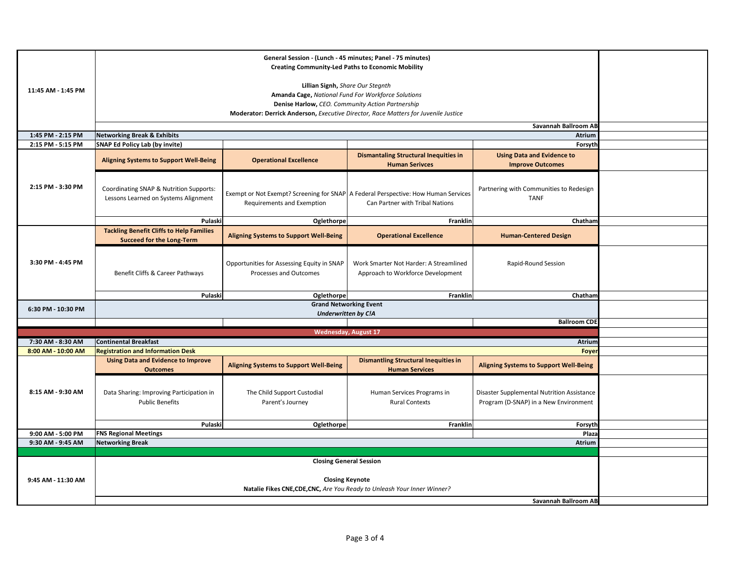| 11:45 AM - 1:45 PM                      |                                                                                                                                                              |                                                                      |                                                                                                                         |                                                                                     |  |  |
|-----------------------------------------|--------------------------------------------------------------------------------------------------------------------------------------------------------------|----------------------------------------------------------------------|-------------------------------------------------------------------------------------------------------------------------|-------------------------------------------------------------------------------------|--|--|
|                                         |                                                                                                                                                              |                                                                      |                                                                                                                         |                                                                                     |  |  |
| 1:45 PM - 2:15 PM                       | <b>Networking Break &amp; Exhibits</b>                                                                                                                       |                                                                      |                                                                                                                         | Atrium                                                                              |  |  |
| 2:15 PM - 5:15 PM                       | <b>SNAP Ed Policy Lab (by invite)</b>                                                                                                                        | Forsyth                                                              |                                                                                                                         |                                                                                     |  |  |
| 2:15 PM - 3:30 PM                       | <b>Aligning Systems to Support Well-Being</b>                                                                                                                | <b>Operational Excellence</b>                                        | <b>Dismantaling Structural Inequities in</b><br><b>Human Serivces</b>                                                   | <b>Using Data and Evidence to</b><br><b>Improve Outcomes</b>                        |  |  |
|                                         | Coordinating SNAP & Nutrition Supports:<br>Lessons Learned on Systems Alignment                                                                              | Requirements and Exemption                                           | Exempt or Not Exempt? Screening for SNAP   A Federal Perspective: How Human Services<br>Can Partner with Tribal Nations | Partnering with Communities to Redesign<br><b>TANF</b>                              |  |  |
|                                         | Pulaski                                                                                                                                                      | Oglethorpe                                                           | Franklin                                                                                                                | Chatham                                                                             |  |  |
| 3:30 PM - 4:45 PM                       | <b>Tackling Benefit Cliffs to Help Families</b><br><b>Succeed for the Long-Term</b>                                                                          | <b>Aligning Systems to Support Well-Being</b>                        | <b>Operational Excellence</b>                                                                                           | <b>Human-Centered Design</b>                                                        |  |  |
|                                         | Benefit Cliffs & Career Pathways                                                                                                                             | Opportunities for Assessing Equity in SNAP<br>Processes and Outcomes | Work Smarter Not Harder: A Streamlined<br>Approach to Workforce Development                                             | Rapid-Round Session                                                                 |  |  |
|                                         | Pulaski                                                                                                                                                      | Oglethorpe                                                           | Franklin                                                                                                                | Chatham                                                                             |  |  |
| 6:30 PM - 10:30 PM                      |                                                                                                                                                              | <b>Grand Networking Event</b><br><b>Underwritten by C!A</b>          |                                                                                                                         |                                                                                     |  |  |
|                                         |                                                                                                                                                              |                                                                      |                                                                                                                         | <b>Ballroom CDE</b>                                                                 |  |  |
|                                         |                                                                                                                                                              |                                                                      | <b>Wednesday, August 17</b>                                                                                             |                                                                                     |  |  |
| 7:30 AM - 8:30 AM                       | <b>Continental Breakfast</b>                                                                                                                                 |                                                                      |                                                                                                                         | Atrium<br>Foyer                                                                     |  |  |
| 8:00 AM - 10:00 AM<br>8:15 AM - 9:30 AM | <b>Registration and Information Desk</b><br><b>Using Data and Evidence to Improve</b><br><b>Outcomes</b>                                                     | <b>Aligning Systems to Support Well-Being</b>                        | <b>Dismantling Structural Inequities in</b><br><b>Human Services</b>                                                    | <b>Aligning Systems to Support Well-Being</b>                                       |  |  |
|                                         | Data Sharing: Improving Participation in<br><b>Public Benefits</b>                                                                                           | The Child Support Custodial<br>Parent's Journey                      | Human Services Programs in<br><b>Rural Contexts</b>                                                                     | Disaster Supplemental Nutrition Assistance<br>Program (D-SNAP) in a New Environment |  |  |
|                                         | Pulaski                                                                                                                                                      | Oglethorpe                                                           | Franklin                                                                                                                | Forsyth                                                                             |  |  |
| 9:00 AM - 5:00 PM                       | <b>FNS Regional Meetings</b>                                                                                                                                 |                                                                      |                                                                                                                         | Plaza                                                                               |  |  |
| 9:30 AM - 9:45 AM                       |                                                                                                                                                              | <b>Networking Break</b><br>Atrium                                    |                                                                                                                         |                                                                                     |  |  |
|                                         |                                                                                                                                                              |                                                                      |                                                                                                                         |                                                                                     |  |  |
| 9:45 AM - 11:30 AM                      | <b>Closing General Session</b><br><b>Closing Keynote</b><br>Natalie Fikes CNE, CDE, CNC, Are You Ready to Unleash Your Inner Winner?<br>Savannah Ballroom AB |                                                                      |                                                                                                                         |                                                                                     |  |  |
|                                         |                                                                                                                                                              |                                                                      |                                                                                                                         |                                                                                     |  |  |